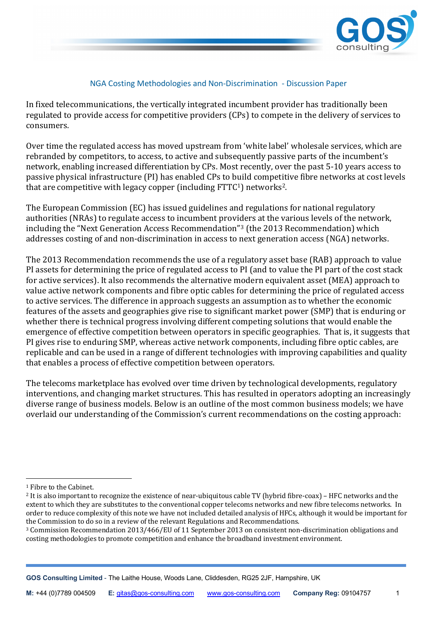

### NGA Costing Methodologies and Non-Discrimination - Discussion Paper

In fixed telecommunications, the vertically integrated incumbent provider has traditionally been regulated to provide access for competitive providers (CPs) to compete in the delivery of services to consumers.

Over time the regulated access has moved upstream from 'white label' wholesale services, which are rebranded by competitors, to access, to active and subsequently passive parts of the incumbent's network, enabling increased differentiation by CPs. Most recently, over the past 5-10 years access to passive physical infrastructure (PI) has enabled CPs to build competitive fibre networks at cost levels that are competitive with legacy copper (including FTTC<sup>[1](#page-0-0)</sup>) networks<sup>2</sup>.

The European Commission (EC) has issued guidelines and regulations for national regulatory authorities (NRAs) to regulate access to incumbent providers at the various levels of the network, including the "Next Generation Access Recommendation"[3](#page-0-2) (the 2013 Recommendation) which addresses costing of and non-discrimination in access to next generation access (NGA) networks.

The 2013 Recommendation recommends the use of a regulatory asset base (RAB) approach to value PI assets for determining the price of regulated access to PI (and to value the PI part of the cost stack for active services). It also recommends the alternative modern equivalent asset (MEA) approach to value active network components and fibre optic cables for determining the price of regulated access to active services. The difference in approach suggests an assumption as to whether the economic features of the assets and geographies give rise to significant market power (SMP) that is enduring or whether there is technical progress involving different competing solutions that would enable the emergence of effective competition between operators in specific geographies. That is, it suggests that PI gives rise to enduring SMP, whereas active network components, including fibre optic cables, are replicable and can be used in a range of different technologies with improving capabilities and quality that enables a process of effective competition between operators.

The telecoms marketplace has evolved over time driven by technological developments, regulatory interventions, and changing market structures. This has resulted in operators adopting an increasingly diverse range of business models. Below is an outline of the most common business models; we have overlaid our understanding of the Commission's current recommendations on the costing approach:

<span id="page-0-0"></span><sup>1</sup> Fibre to the Cabinet.

<span id="page-0-1"></span><sup>2</sup> It is also important to recognize the existence of near-ubiquitous cable TV (hybrid fibre-coax) – HFC networks and the extent to which they are substitutes to the conventional copper telecoms networks and new fibre telecoms networks. In order to reduce complexity of this note we have not included detailed analysis of HFCs, although it would be important for the Commission to do so in a review of the relevant Regulations and Recommendations.

<span id="page-0-2"></span><sup>3</sup> Commission Recommendation 2013/466/EU of 11 September 2013 on consistent non-discrimination obligations and costing methodologies to promote competition and enhance the broadband investment environment.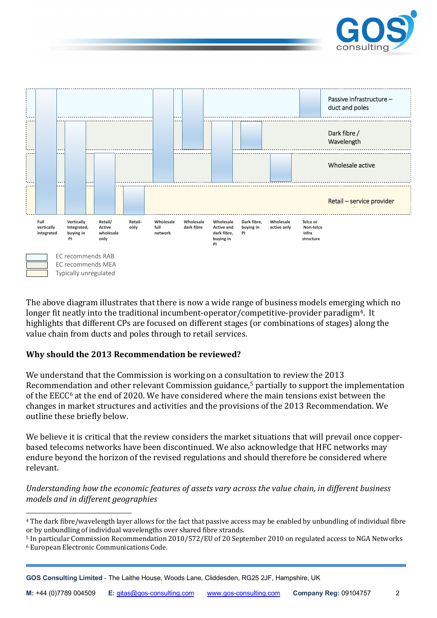



The above diagram illustrates that there is now a wide range of business models emerging which no longer fit neatly into the traditional incumbent-operator/competitive-provider paradigm<sup>[4](#page-1-0)</sup>. It highlights that different CPs are focused on different stages (or combinations of stages) along the value chain from ducts and poles through to retail services.

## **Why should the 2013 Recommendation be reviewed?**

We understand that the Commission is working on a consultation to review the 2013 Recommendation and other relevant Commission guidance,<sup>[5](#page-1-1)</sup> partially to support the implementation of the EECC $6$  at the end of 2020. We have considered where the main tensions exist between the changes in market structures and activities and the provisions of the 2013 Recommendation. We outline these briefly below.

We believe it is critical that the review considers the market situations that will prevail once copperbased telecoms networks have been discontinued. We also acknowledge that HFC networks may endure beyond the horizon of the revised regulations and should therefore be considered where relevant.

*Understanding how the economic features of assets vary across the value chain, in different business models and in different geographies*

<span id="page-1-0"></span><sup>4</sup> The dark fibre/wavelength layer allows for the fact that passive access may be enabled by unbundling of individual fibre or by unbundling of individual wavelengths over shared fibre strands.

<span id="page-1-2"></span><span id="page-1-1"></span><sup>5</sup> In particular Commission Recommendation 2010/572/EU of 20 September 2010 on regulated access to NGA Networks <sup>6</sup> European Electronic Communications Code.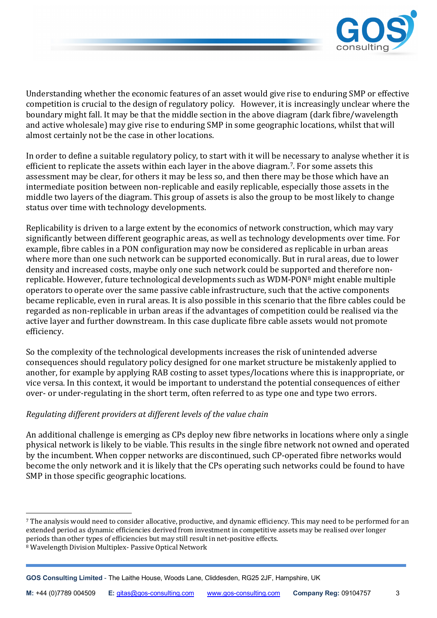

Understanding whether the economic features of an asset would give rise to enduring SMP or effective competition is crucial to the design of regulatory policy. However, it is increasingly unclear where the boundary might fall. It may be that the middle section in the above diagram (dark fibre/wavelength and active wholesale) may give rise to enduring SMP in some geographic locations, whilst that will almost certainly not be the case in other locations.

In order to define a suitable regulatory policy, to start with it will be necessary to analyse whether it is efficient to replicate the assets within each layer in the above diagram. [7.](#page-2-0) For some assets this assessment may be clear, for others it may be less so, and then there may be those which have an intermediate position between non-replicable and easily replicable, especially those assets in the middle two layers of the diagram. This group of assets is also the group to be most likely to change status over time with technology developments.

Replicability is driven to a large extent by the economics of network construction, which may vary significantly between different geographic areas, as well as technology developments over time. For example, fibre cables in a PON configuration may now be considered as replicable in urban areas where more than one such network can be supported economically. But in rural areas, due to lower density and increased costs, maybe only one such network could be supported and therefore nonreplicable. However, future technological developments such as WDM-PON[8](#page-2-1) might enable multiple operators to operate over the same passive cable infrastructure, such that the active components became replicable, even in rural areas. It is also possible in this scenario that the fibre cables could be regarded as non-replicable in urban areas if the advantages of competition could be realised via the active layer and further downstream. In this case duplicate fibre cable assets would not promote efficiency.

So the complexity of the technological developments increases the risk of unintended adverse consequences should regulatory policy designed for one market structure be mistakenly applied to another, for example by applying RAB costing to asset types/locations where this is inappropriate, or vice versa. In this context, it would be important to understand the potential consequences of either over- or under-regulating in the short term, often referred to as type one and type two errors.

## *Regulating different providers at different levels of the value chain*

An additional challenge is emerging as CPs deploy new fibre networks in locations where only a single physical network is likely to be viable. This results in the single fibre network not owned and operated by the incumbent. When copper networks are discontinued, such CP-operated fibre networks would become the only network and it is likely that the CPs operating such networks could be found to have SMP in those specific geographic locations.

<span id="page-2-1"></span><span id="page-2-0"></span><sup>7</sup> The analysis would need to consider allocative, productive, and dynamic efficiency. This may need to be performed for an extended period as dynamic efficiencies derived from investment in competitive assets may be realised over longer periods than other types of efficiencies but may still result in net-positive effects. <sup>8</sup> Wavelength Division Multiplex- Passive Optical Network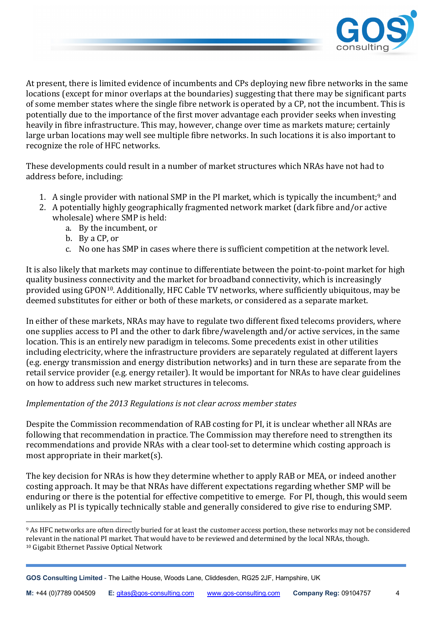

At present, there is limited evidence of incumbents and CPs deploying new fibre networks in the same locations (except for minor overlaps at the boundaries) suggesting that there may be significant parts of some member states where the single fibre network is operated by a CP, not the incumbent. This is potentially due to the importance of the first mover advantage each provider seeks when investing heavily in fibre infrastructure. This may, however, change over time as markets mature; certainly large urban locations may well see multiple fibre networks. In such locations it is also important to recognize the role of HFC networks.

These developments could result in a number of market structures which NRAs have not had to address before, including:

- 1. A single provider with national SMP in the PI market, which is typically the incumbent;[9](#page-3-0) and
- 2. A potentially highly geographically fragmented network market (dark fibre and/or active wholesale) where SMP is held:
	- a. By the incumbent, or
	- b. By a CP, or
	- c. No one has SMP in cases where there is sufficient competition at the network level.

It is also likely that markets may continue to differentiate between the point-to-point market for high quality business connectivity and the market for broadband connectivity, which is increasingly provided using GPON[10](#page-3-1). Additionally, HFC Cable TV networks, where sufficiently ubiquitous, may be deemed substitutes for either or both of these markets, or considered as a separate market.

In either of these markets, NRAs may have to regulate two different fixed telecoms providers, where one supplies access to PI and the other to dark fibre/wavelength and/or active services, in the same location. This is an entirely new paradigm in telecoms. Some precedents exist in other utilities including electricity, where the infrastructure providers are separately regulated at different layers (e.g. energy transmission and energy distribution networks) and in turn these are separate from the retail service provider (e.g. energy retailer). It would be important for NRAs to have clear guidelines on how to address such new market structures in telecoms.

#### *Implementation of the 2013 Regulations is not clear across member states*

Despite the Commission recommendation of RAB costing for PI, it is unclear whether all NRAs are following that recommendation in practice. The Commission may therefore need to strengthen its recommendations and provide NRAs with a clear tool-set to determine which costing approach is most appropriate in their market(s).

The key decision for NRAs is how they determine whether to apply RAB or MEA, or indeed another costing approach. It may be that NRAs have different expectations regarding whether SMP will be enduring or there is the potential for effective competitive to emerge. For PI, though, this would seem unlikely as PI is typically technically stable and generally considered to give rise to enduring SMP.

<span id="page-3-1"></span><span id="page-3-0"></span><sup>9</sup> As HFC networks are often directly buried for at least the customer access portion, these networks may not be considered relevant in the national PI market. That would have to be reviewed and determined by the local NRAs, though. <sup>10</sup> Gigabit Ethernet Passive Optical Network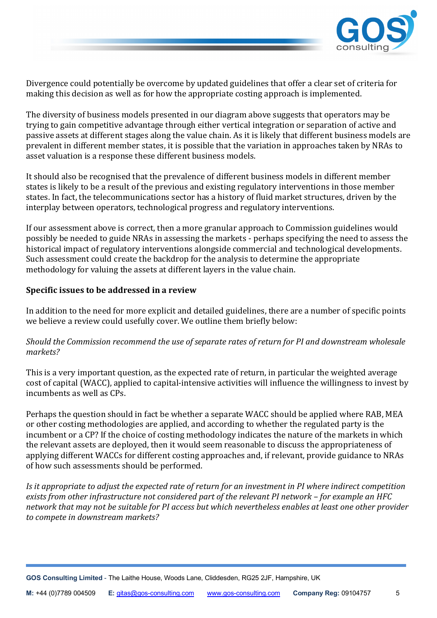

Divergence could potentially be overcome by updated guidelines that offer a clear set of criteria for making this decision as well as for how the appropriate costing approach is implemented.

The diversity of business models presented in our diagram above suggests that operators may be trying to gain competitive advantage through either vertical integration or separation of active and passive assets at different stages along the value chain. As it is likely that different business models are prevalent in different member states, it is possible that the variation in approaches taken by NRAs to asset valuation is a response these different business models.

It should also be recognised that the prevalence of different business models in different member states is likely to be a result of the previous and existing regulatory interventions in those member states. In fact, the telecommunications sector has a history of fluid market structures, driven by the interplay between operators, technological progress and regulatory interventions.

If our assessment above is correct, then a more granular approach to Commission guidelines would possibly be needed to guide NRAs in assessing the markets - perhaps specifying the need to assess the historical impact of regulatory interventions alongside commercial and technological developments. Such assessment could create the backdrop for the analysis to determine the appropriate methodology for valuing the assets at different layers in the value chain.

## **Specific issues to be addressed in a review**

In addition to the need for more explicit and detailed guidelines, there are a number of specific points we believe a review could usefully cover. We outline them briefly below:

## *Should the Commission recommend the use of separate rates of return for PI and downstream wholesale markets?*

This is a very important question, as the expected rate of return, in particular the weighted average cost of capital (WACC), applied to capital-intensive activities will influence the willingness to invest by incumbents as well as CPs.

Perhaps the question should in fact be whether a separate WACC should be applied where RAB, MEA or other costing methodologies are applied, and according to whether the regulated party is the incumbent or a CP? If the choice of costing methodology indicates the nature of the markets in which the relevant assets are deployed, then it would seem reasonable to discuss the appropriateness of applying different WACCs for different costing approaches and, if relevant, provide guidance to NRAs of how such assessments should be performed.

*Is it appropriate to adjust the expected rate of return for an investment in PI where indirect competition exists from other infrastructure not considered part of the relevant PI network – for example an HFC network that may not be suitable for PI access but which nevertheless enables at least one other provider to compete in downstream markets?*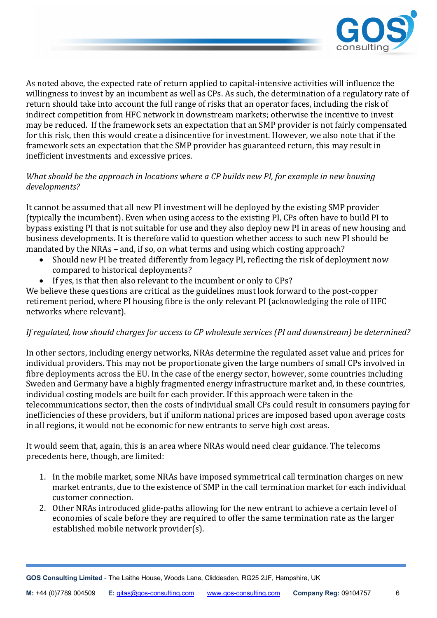

As noted above, the expected rate of return applied to capital-intensive activities will influence the willingness to invest by an incumbent as well as CPs. As such, the determination of a regulatory rate of return should take into account the full range of risks that an operator faces, including the risk of indirect competition from HFC network in downstream markets; otherwise the incentive to invest may be reduced. If the framework sets an expectation that an SMP provider is not fairly compensated for this risk, then this would create a disincentive for investment. However, we also note that if the framework sets an expectation that the SMP provider has guaranteed return, this may result in inefficient investments and excessive prices.

# *What should be the approach in locations where a CP builds new PI, for example in new housing developments?*

It cannot be assumed that all new PI investment will be deployed by the existing SMP provider (typically the incumbent). Even when using access to the existing PI, CPs often have to build PI to bypass existing PI that is not suitable for use and they also deploy new PI in areas of new housing and business developments. It is therefore valid to question whether access to such new PI should be mandated by the NRAs – and, if so, on what terms and using which costing approach?

- Should new PI be treated differently from legacy PI, reflecting the risk of deployment now compared to historical deployments?
- If yes, is that then also relevant to the incumbent or only to CPs?

We believe these questions are critical as the guidelines must look forward to the post-copper retirement period, where PI housing fibre is the only relevant PI (acknowledging the role of HFC networks where relevant).

# *If regulated, how should charges for access to CP wholesale services (PI and downstream) be determined?*

In other sectors, including energy networks, NRAs determine the regulated asset value and prices for individual providers. This may not be proportionate given the large numbers of small CPs involved in fibre deployments across the EU. In the case of the energy sector, however, some countries including Sweden and Germany have a highly fragmented energy infrastructure market and, in these countries, individual costing models are built for each provider. If this approach were taken in the telecommunications sector, then the costs of individual small CPs could result in consumers paying for inefficiencies of these providers, but if uniform national prices are imposed based upon average costs in all regions, it would not be economic for new entrants to serve high cost areas.

It would seem that, again, this is an area where NRAs would need clear guidance. The telecoms precedents here, though, are limited:

- 1. In the mobile market, some NRAs have imposed symmetrical call termination charges on new market entrants, due to the existence of SMP in the call termination market for each individual customer connection.
- 2. Other NRAs introduced glide-paths allowing for the new entrant to achieve a certain level of economies of scale before they are required to offer the same termination rate as the larger established mobile network provider(s).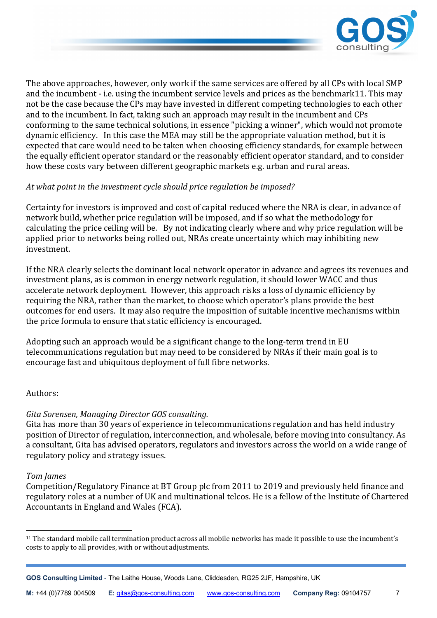

The above approaches, however, only work if the same services are offered by all CPs with local SMP and the incumbent - i.e. using the incumbent service levels and prices as the benchmark[11](#page-6-0). This may not be the case because the CPs may have invested in different competing technologies to each other and to the incumbent. In fact, taking such an approach may result in the incumbent and CPs conforming to the same technical solutions, in essence "picking a winner", which would not promote dynamic efficiency. In this case the MEA may still be the appropriate valuation method, but it is expected that care would need to be taken when choosing efficiency standards, for example between the equally efficient operator standard or the reasonably efficient operator standard, and to consider how these costs vary between different geographic markets e.g. urban and rural areas.

## *At what point in the investment cycle should price regulation be imposed?*

Certainty for investors is improved and cost of capital reduced where the NRA is clear, in advance of network build, whether price regulation will be imposed, and if so what the methodology for calculating the price ceiling will be. By not indicating clearly where and why price regulation will be applied prior to networks being rolled out, NRAs create uncertainty which may inhibiting new investment.

If the NRA clearly selects the dominant local network operator in advance and agrees its revenues and investment plans, as is common in energy network regulation, it should lower WACC and thus accelerate network deployment. However, this approach risks a loss of dynamic efficiency by requiring the NRA, rather than the market, to choose which operator's plans provide the best outcomes for end users. It may also require the imposition of suitable incentive mechanisms within the price formula to ensure that static efficiency is encouraged.

Adopting such an approach would be a significant change to the long-term trend in EU telecommunications regulation but may need to be considered by NRAs if their main goal is to encourage fast and ubiquitous deployment of full fibre networks.

## Authors:

## *Gita Sorensen, Managing Director GOS consulting.*

Gita has more than 30 years of experience in telecommunications regulation and has held industry position of Director of regulation, interconnection, and wholesale, before moving into consultancy. As a consultant, Gita has advised operators, regulators and investors across the world on a wide range of regulatory policy and strategy issues.

## *Tom James*

Competition/Regulatory Finance at BT Group plc from 2011 to 2019 and previously held finance and regulatory roles at a number of UK and multinational telcos. He is a fellow of the Institute of Chartered Accountants in England and Wales (FCA).

<span id="page-6-0"></span><sup>11</sup> The standard mobile call termination product across all mobile networks has made it possible to use the incumbent's costs to apply to all provides, with or without adjustments.